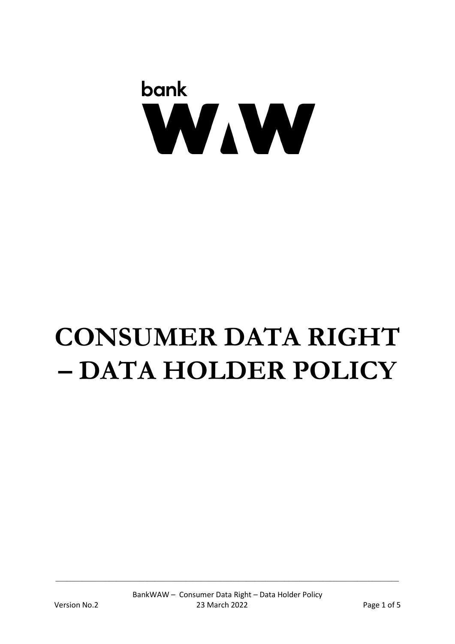# bank WAW

## **CONSUMER DATA RIGHT – DATA HOLDER POLICY**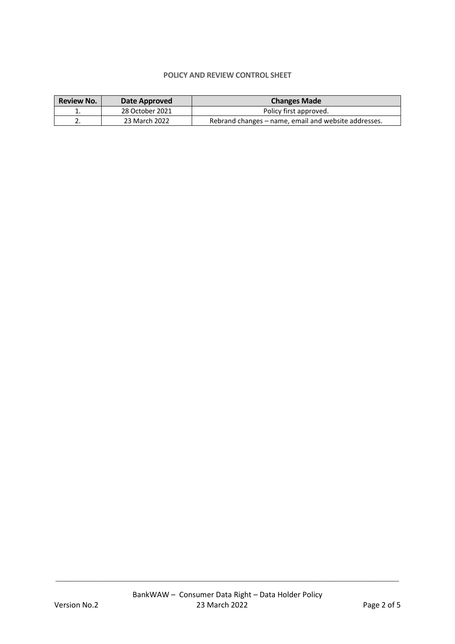#### **POLICY AND REVIEW CONTROL SHEET**

| <b>Review No.</b> | Date Approved   | <b>Changes Made</b>                                  |
|-------------------|-----------------|------------------------------------------------------|
| . .               | 28 October 2021 | Policy first approved.                               |
| L.                | 23 March 2022   | Rebrand changes – name, email and website addresses. |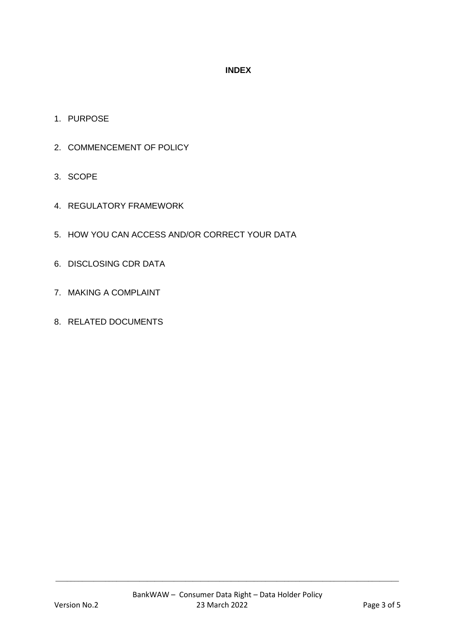### **INDEX**

- 1. PURPOSE
- 2. COMMENCEMENT OF POLICY
- 3. SCOPE
- 4. REGULATORY FRAMEWORK
- 5. HOW YOU CAN ACCESS AND/OR CORRECT YOUR DATA
- 6. DISCLOSING CDR DATA
- 7. MAKING A COMPLAINT
- 8. RELATED DOCUMENTS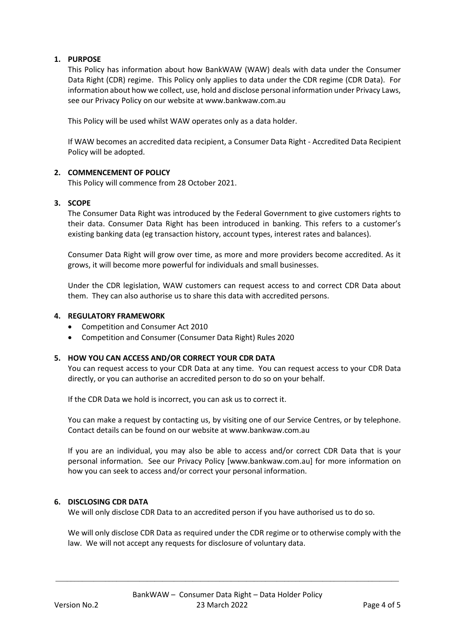#### **1. PURPOSE**

This Policy has information about how BankWAW (WAW) deals with data under the Consumer Data Right (CDR) regime. This Policy only applies to data under the CDR regime (CDR Data). For information about how we collect, use, hold and disclose personal information under Privacy Laws, see our Privacy Policy on our website at www.bankwaw.com.au

This Policy will be used whilst WAW operates only as a data holder.

If WAW becomes an accredited data recipient, a Consumer Data Right - Accredited Data Recipient Policy will be adopted.

#### **2. COMMENCEMENT OF POLICY**

This Policy will commence from 28 October 2021.

#### **3. SCOPE**

The Consumer Data Right was introduced by the Federal Government to give customers rights to their data. Consumer Data Right has been introduced in banking. This refers to a customer's existing banking data (eg transaction history, account types, interest rates and balances).

Consumer Data Right will grow over time, as more and more providers become accredited. As it grows, it will become more powerful for individuals and small businesses.

Under the CDR legislation, WAW customers can request access to and correct CDR Data about them. They can also authorise us to share this data with accredited persons.

#### **4. REGULATORY FRAMEWORK**

- Competition and Consumer Act 2010
- Competition and Consumer (Consumer Data Right) Rules 2020

#### **5. HOW YOU CAN ACCESS AND/OR CORRECT YOUR CDR DATA**

You can request access to your CDR Data at any time. You can request access to your CDR Data directly, or you can authorise an accredited person to do so on your behalf.

If the CDR Data we hold is incorrect, you can ask us to correct it.

You can make a request by contacting us, by visiting one of our Service Centres, or by telephone. Contact details can be found on our website at www.bankwaw.com.au

If you are an individual, you may also be able to access and/or correct CDR Data that is your personal information. See our Privacy Policy [www.bankwaw.com.au] for more information on how you can seek to access and/or correct your personal information.

#### **6. DISCLOSING CDR DATA**

We will only disclose CDR Data to an accredited person if you have authorised us to do so.

We will only disclose CDR Data as required under the CDR regime or to otherwise comply with the law. We will not accept any requests for disclosure of voluntary data.